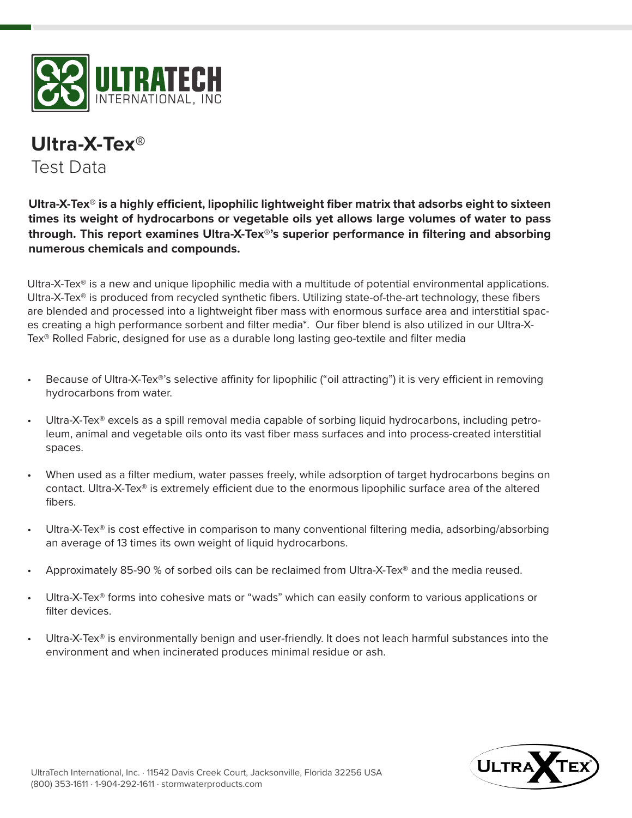

## **Ultra-X-Tex®** Test Data

**Ultra-X-Tex® is a highly efficient, lipophilic lightweight fiber matrix that adsorbs eight to sixteen times its weight of hydrocarbons or vegetable oils yet allows large volumes of water to pass through. This report examines Ultra-X-Tex®'s superior performance in filtering and absorbing numerous chemicals and compounds.**

Ultra-X-Tex<sup>®</sup> is a new and unique lipophilic media with a multitude of potential environmental applications. Ultra-X-Tex® is produced from recycled synthetic fibers. Utilizing state-of-the-art technology, these fibers are blended and processed into a lightweight fiber mass with enormous surface area and interstitial spaces creating a high performance sorbent and filter media\*. Our fiber blend is also utilized in our Ultra-X-Tex® Rolled Fabric, designed for use as a durable long lasting geo-textile and filter media

- Because of Ultra-X-Tex®'s selective affinity for lipophilic ("oil attracting") it is very efficient in removing hydrocarbons from water.
- Ultra-X-Tex® excels as a spill removal media capable of sorbing liquid hydrocarbons, including petroleum, animal and vegetable oils onto its vast fiber mass surfaces and into process-created interstitial spaces.
- When used as a filter medium, water passes freely, while adsorption of target hydrocarbons begins on contact. Ultra-X-Tex® is extremely efficient due to the enormous lipophilic surface area of the altered fibers.
- Ultra-X-Tex<sup>®</sup> is cost effective in comparison to many conventional filtering media, adsorbing/absorbing an average of 13 times its own weight of liquid hydrocarbons.
- Approximately 85-90 % of sorbed oils can be reclaimed from Ultra-X-Tex® and the media reused.
- Ultra-X-Tex® forms into cohesive mats or "wads" which can easily conform to various applications or filter devices.
- Ultra-X-Tex<sup>®</sup> is environmentally benign and user-friendly. It does not leach harmful substances into the environment and when incinerated produces minimal residue or ash.

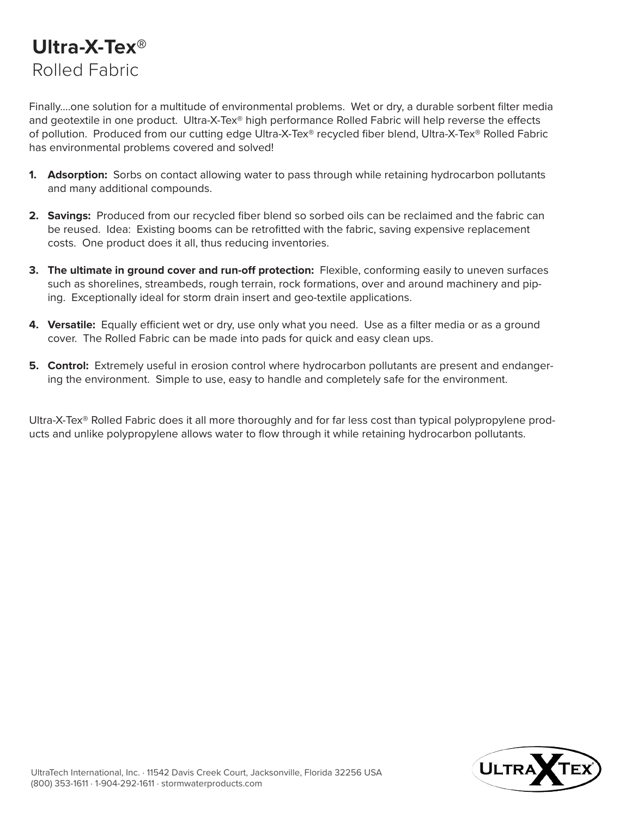## **Ultra-X-Tex®** Rolled Fabric

Finally….one solution for a multitude of environmental problems. Wet or dry, a durable sorbent filter media and geotextile in one product. Ultra-X-Tex® high performance Rolled Fabric will help reverse the effects of pollution. Produced from our cutting edge Ultra-X-Tex® recycled fiber blend, Ultra-X-Tex® Rolled Fabric has environmental problems covered and solved!

- **1. Adsorption:** Sorbs on contact allowing water to pass through while retaining hydrocarbon pollutants and many additional compounds.
- **2. Savings:** Produced from our recycled fiber blend so sorbed oils can be reclaimed and the fabric can be reused. Idea: Existing booms can be retrofitted with the fabric, saving expensive replacement costs. One product does it all, thus reducing inventories.
- **3. The ultimate in ground cover and run-off protection:** Flexible, conforming easily to uneven surfaces such as shorelines, streambeds, rough terrain, rock formations, over and around machinery and piping. Exceptionally ideal for storm drain insert and geo-textile applications.
- **4. Versatile:** Equally efficient wet or dry, use only what you need. Use as a filter media or as a ground cover. The Rolled Fabric can be made into pads for quick and easy clean ups.
- **5. Control:** Extremely useful in erosion control where hydrocarbon pollutants are present and endangering the environment. Simple to use, easy to handle and completely safe for the environment.

Ultra-X-Tex® Rolled Fabric does it all more thoroughly and for far less cost than typical polypropylene products and unlike polypropylene allows water to flow through it while retaining hydrocarbon pollutants.

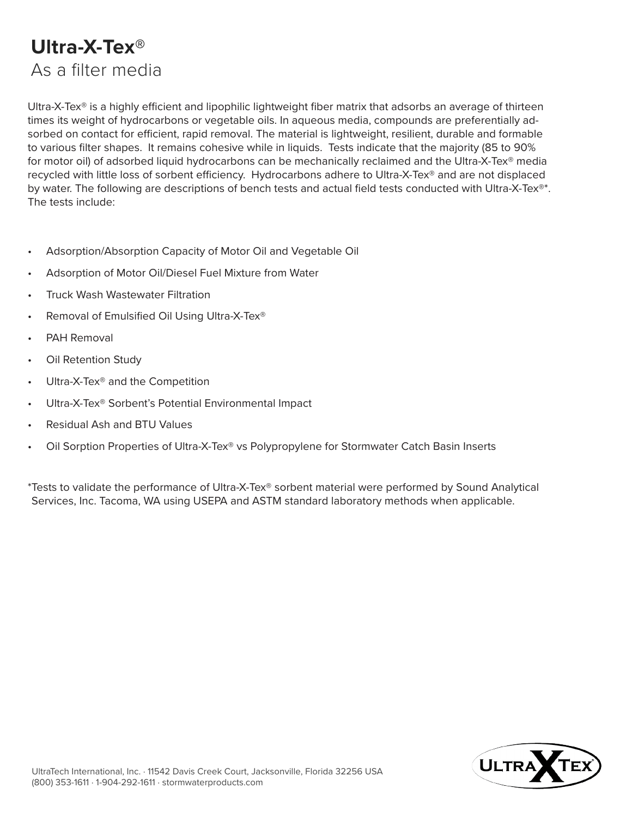## **Ultra-X-Tex®** As a filter media

Ultra-X-Tex® is a highly efficient and lipophilic lightweight fiber matrix that adsorbs an average of thirteen times its weight of hydrocarbons or vegetable oils. In aqueous media, compounds are preferentially adsorbed on contact for efficient, rapid removal. The material is lightweight, resilient, durable and formable to various filter shapes. It remains cohesive while in liquids. Tests indicate that the majority (85 to 90% for motor oil) of adsorbed liquid hydrocarbons can be mechanically reclaimed and the Ultra-X-Tex® media recycled with little loss of sorbent efficiency. Hydrocarbons adhere to Ultra-X-Tex® and are not displaced by water. The following are descriptions of bench tests and actual field tests conducted with Ultra-X-Tex<sup>®\*</sup>. The tests include:

- Adsorption/Absorption Capacity of Motor Oil and Vegetable Oil
- Adsorption of Motor Oil/Diesel Fuel Mixture from Water
- Truck Wash Wastewater Filtration
- Removal of Emulsified Oil Using Ultra-X-Tex<sup>®</sup>
- PAH Removal
- Oil Retention Study
- Ultra-X-Tex® and the Competition
- Ultra-X-Tex® Sorbent's Potential Environmental Impact
- Residual Ash and BTU Values
- Oil Sorption Properties of Ultra-X-Tex® vs Polypropylene for Stormwater Catch Basin Inserts

\*Tests to validate the performance of Ultra-X-Tex® sorbent material were performed by Sound Analytical Services, Inc. Tacoma, WA using USEPA and ASTM standard laboratory methods when applicable.

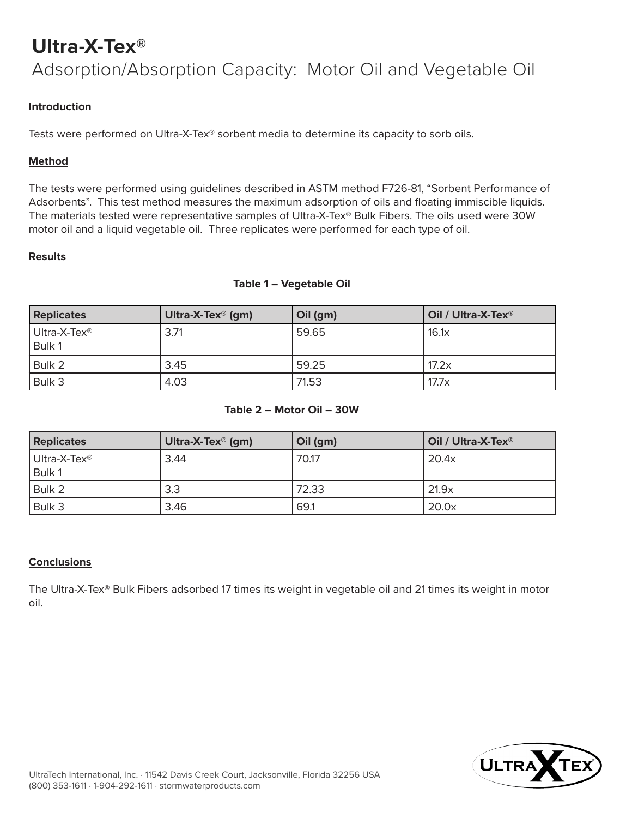## **Ultra-X-Tex®** Adsorption/Absorption Capacity: Motor Oil and Vegetable Oil

## **Introduction**

Tests were performed on Ultra-X-Tex® sorbent media to determine its capacity to sorb oils.

### **Method**

The tests were performed using guidelines described in ASTM method F726-81, "Sorbent Performance of Adsorbents". This test method measures the maximum adsorption of oils and floating immiscible liquids. The materials tested were representative samples of Ultra-X-Tex® Bulk Fibers. The oils used were 30W motor oil and a liquid vegetable oil. Three replicates were performed for each type of oil.

#### **Results**

#### **Table 1 – Vegetable Oil**

| <b>Replicates</b>                  | Ultra-X-Tex <sup>®</sup> (gm) | Oil (gm) | Oil / Ultra-X-Tex <sup>®</sup> |
|------------------------------------|-------------------------------|----------|--------------------------------|
| Ultra-X-Tex <sup>®</sup><br>Bulk 1 | 3.71                          | 59.65    | 16.1x                          |
| Bulk 2                             | 3.45                          | 59.25    | 17.2x                          |
| Bulk 3                             | 4.03                          | 71.53    | 17.7x                          |

### **Table 2 – Motor Oil – 30W**

| <b>Replicates</b>                  | Ultra-X-Tex <sup>®</sup> (gm) | Oil (gm) | Oil / Ultra-X-Tex <sup>®</sup> |
|------------------------------------|-------------------------------|----------|--------------------------------|
| Ultra-X-Tex <sup>®</sup><br>Bulk 1 | 3.44                          | 70.17    | 20.4x                          |
| Bulk 2                             | 3.3                           | 72.33    | 21.9x                          |
| Bulk 3                             | 3.46                          | 69.1     | 20.0x                          |

### **Conclusions**

The Ultra-X-Tex® Bulk Fibers adsorbed 17 times its weight in vegetable oil and 21 times its weight in motor oil.

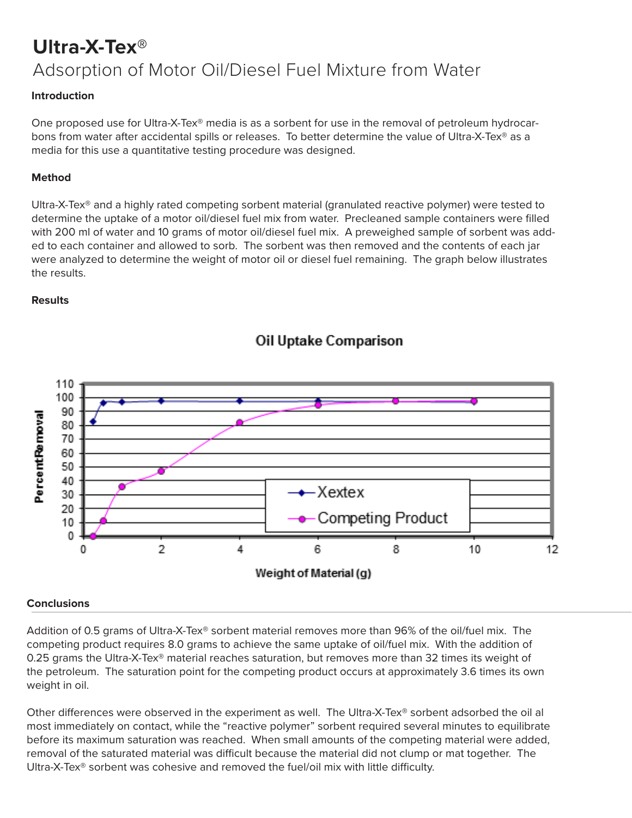# **Ultra-X-Tex®** Adsorption of Motor Oil/Diesel Fuel Mixture from Water

### **Introduction**

One proposed use for Ultra-X-Tex<sup>®</sup> media is as a sorbent for use in the removal of petroleum hydrocarbons from water after accidental spills or releases. To better determine the value of Ultra-X-Tex® as a media for this use a quantitative testing procedure was designed.

#### **Method**

Ultra-X-Tex® and a highly rated competing sorbent material (granulated reactive polymer) were tested to determine the uptake of a motor oil/diesel fuel mix from water. Precleaned sample containers were filled with 200 ml of water and 10 grams of motor oil/diesel fuel mix. A preweighed sample of sorbent was added to each container and allowed to sorb. The sorbent was then removed and the contents of each jar were analyzed to determine the weight of motor oil or diesel fuel remaining. The graph below illustrates the results.

#### **Results**



## Oil Uptake Comparison

#### **Conclusions**

Addition of 0.5 grams of Ultra-X-Tex® sorbent material removes more than 96% of the oil/fuel mix. The competing product requires 8.0 grams to achieve the same uptake of oil/fuel mix. With the addition of 0.25 grams the Ultra-X-Tex® material reaches saturation, but removes more than 32 times its weight of the petroleum. The saturation point for the competing product occurs at approximately 3.6 times its own weight in oil.

Other differences were observed in the experiment as well. The Ultra-X-Tex® sorbent adsorbed the oil al most immediately on contact, while the "reactive polymer" sorbent required several minutes to equilibrate before its maximum saturation was reached. When small amounts of the competing material were added, removal of the saturated material was difficult because the material did not clump or mat together. The Ultra-X-Tex® sorbent was cohesive and removed the fuel/oil mix with little difficulty.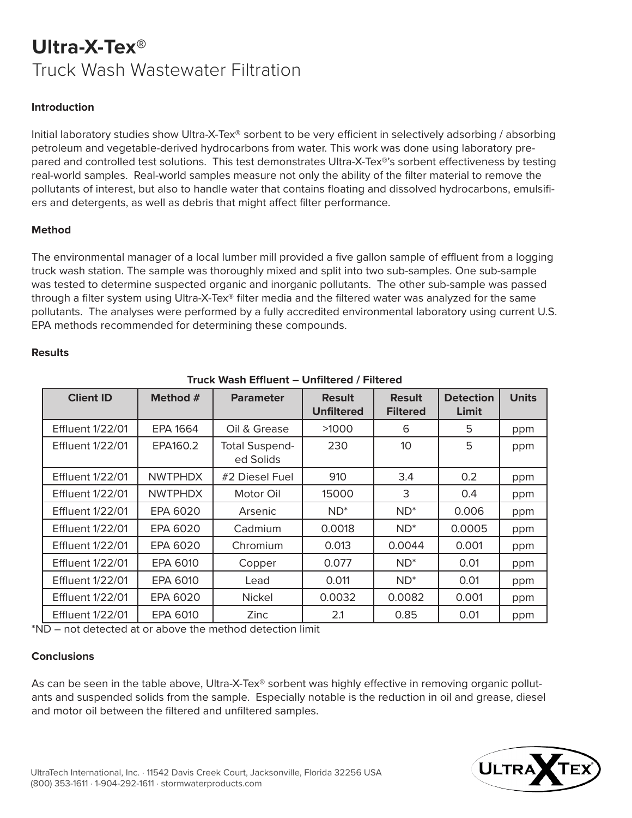## **Ultra-X-Tex®** Truck Wash Wastewater Filtration

#### **Introduction**

Initial laboratory studies show Ultra-X-Tex® sorbent to be very efficient in selectively adsorbing / absorbing petroleum and vegetable-derived hydrocarbons from water. This work was done using laboratory prepared and controlled test solutions. This test demonstrates Ultra-X-Tex®'s sorbent effectiveness by testing real-world samples. Real-world samples measure not only the ability of the filter material to remove the pollutants of interest, but also to handle water that contains floating and dissolved hydrocarbons, emulsifiers and detergents, as well as debris that might affect filter performance.

#### **Method**

The environmental manager of a local lumber mill provided a five gallon sample of effluent from a logging truck wash station. The sample was thoroughly mixed and split into two sub-samples. One sub-sample was tested to determine suspected organic and inorganic pollutants. The other sub-sample was passed through a filter system using Ultra-X-Tex® filter media and the filtered water was analyzed for the same pollutants. The analyses were performed by a fully accredited environmental laboratory using current U.S. EPA methods recommended for determining these compounds.

| <u> TIUCK WASH EINUCHL – UMMICICU / FIILCICU</u> |                |                                    |                                    |                                  |                           |              |  |
|--------------------------------------------------|----------------|------------------------------------|------------------------------------|----------------------------------|---------------------------|--------------|--|
| <b>Client ID</b>                                 | Method #       | <b>Parameter</b>                   | <b>Result</b><br><b>Unfiltered</b> | <b>Result</b><br><b>Filtered</b> | <b>Detection</b><br>Limit | <b>Units</b> |  |
| <b>Effluent 1/22/01</b>                          | EPA 1664       | Oil & Grease                       | >1000                              | 6                                | 5                         | ppm          |  |
| <b>Effluent 1/22/01</b>                          | EPA160.2       | <b>Total Suspend-</b><br>ed Solids | 230                                | 10                               | 5                         | ppm          |  |
| <b>Effluent 1/22/01</b>                          | <b>NWTPHDX</b> | #2 Diesel Fuel                     | 910                                | 3.4                              | 0.2 <sub>0</sub>          | ppm          |  |
| <b>Effluent 1/22/01</b>                          | <b>NWTPHDX</b> | Motor Oil                          | 15000                              | 3                                | 0.4                       | ppm          |  |
| <b>Effluent 1/22/01</b>                          | EPA 6020       | Arsenic                            | $ND^*$                             | $ND^*$                           | 0.006                     | ppm          |  |
| <b>Effluent 1/22/01</b>                          | EPA 6020       | Cadmium                            | 0.0018                             | $ND^*$                           | 0.0005                    | ppm          |  |
| <b>Effluent 1/22/01</b>                          | EPA 6020       | Chromium                           | 0.013                              | 0.0044                           | 0.001                     | ppm          |  |
| <b>Effluent 1/22/01</b>                          | EPA 6010       | Copper                             | 0.077                              | $ND^*$                           | 0.01                      | ppm          |  |
| <b>Effluent 1/22/01</b>                          | EPA 6010       | Lead                               | 0.011                              | $ND^*$                           | 0.01                      | ppm          |  |
| <b>Effluent 1/22/01</b>                          | EPA 6020       | Nickel                             | 0.0032                             | 0.0082                           | 0.001                     | ppm          |  |
| <b>Effluent 1/22/01</b>                          | EPA 6010       | Zinc                               | 2.1                                | 0.85                             | 0.01                      | ppm          |  |

### **Truck Wash Effluent – Unfiltered / Filtered**

\*ND – not detected at or above the method detection limit

#### **Conclusions**

As can be seen in the table above, Ultra-X-Tex® sorbent was highly effective in removing organic pollutants and suspended solids from the sample. Especially notable is the reduction in oil and grease, diesel and motor oil between the filtered and unfiltered samples.

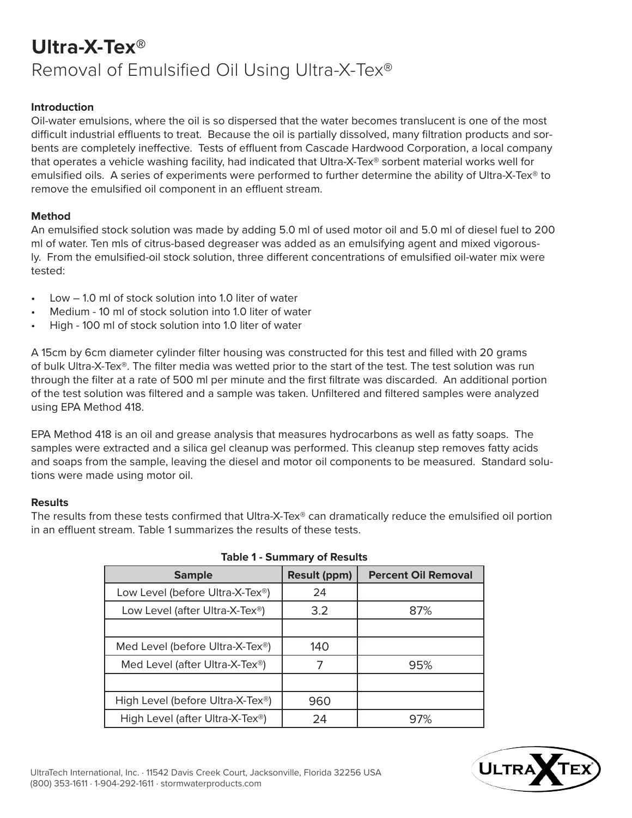## **Ultra-X-Tex®** Removal of Emulsified Oil Using Ultra-X-Tex®

#### **Introduction**

Oil-water emulsions, where the oil is so dispersed that the water becomes translucent is one of the most difficult industrial effluents to treat. Because the oil is partially dissolved, many filtration products and sorbents are completely ineffective. Tests of effluent from Cascade Hardwood Corporation, a local company that operates a vehicle washing facility, had indicated that Ultra-X-Tex® sorbent material works well for emulsified oils. A series of experiments were performed to further determine the ability of Ultra-X-Tex® to remove the emulsified oil component in an effluent stream.

#### **Method**

An emulsified stock solution was made by adding 5.0 ml of used motor oil and 5.0 ml of diesel fuel to 200 ml of water. Ten mls of citrus-based degreaser was added as an emulsifying agent and mixed vigorously. From the emulsified-oil stock solution, three different concentrations of emulsified oil-water mix were tested:

- Low 1.0 ml of stock solution into 1.0 liter of water
- Medium 10 ml of stock solution into 1.0 liter of water
- High 100 ml of stock solution into 1.0 liter of water

A 15cm by 6cm diameter cylinder filter housing was constructed for this test and filled with 20 grams of bulk Ultra-X-Tex®. The filter media was wetted prior to the start of the test. The test solution was run through the filter at a rate of 500 ml per minute and the first filtrate was discarded. An additional portion of the test solution was filtered and a sample was taken. Unfiltered and filtered samples were analyzed using EPA Method 418.

EPA Method 418 is an oil and grease analysis that measures hydrocarbons as well as fatty soaps. The samples were extracted and a silica gel cleanup was performed. This cleanup step removes fatty acids and soaps from the sample, leaving the diesel and motor oil components to be measured. Standard solutions were made using motor oil.

#### **Results**

The results from these tests confirmed that Ultra-X-Tex® can dramatically reduce the emulsified oil portion in an effluent stream. Table 1 summarizes the results of these tests.

| <b>Sample</b>                                 | <b>Result (ppm)</b> | <b>Percent Oil Removal</b> |
|-----------------------------------------------|---------------------|----------------------------|
| Low Level (before Ultra-X-Tex®)               | 24                  |                            |
| Low Level (after Ultra-X-Tex <sup>®</sup> )   | 3.2                 | 87%                        |
|                                               |                     |                            |
| Med Level (before Ultra-X-Tex <sup>®</sup> )  | 140                 |                            |
| Med Level (after Ultra-X-Tex <sup>®</sup> )   |                     | 95%                        |
|                                               |                     |                            |
| High Level (before Ultra-X-Tex <sup>®</sup> ) | 960                 |                            |
| High Level (after Ultra-X-Tex <sup>®</sup> )  | 24                  | 97%                        |

#### **Table 1 - Summary of Results**

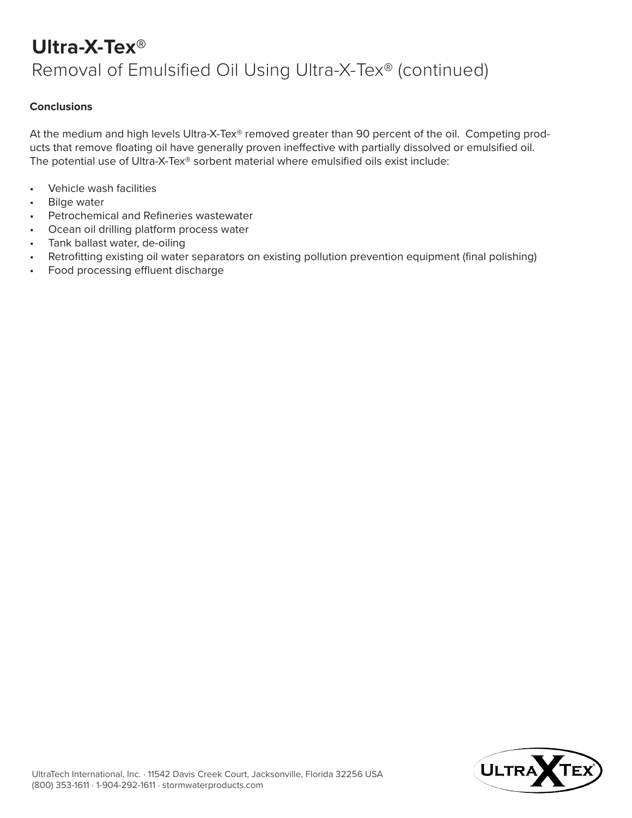## **Ultra-X-Tex®** Removal of Emulsified Oil Using Ultra-X-Tex® (continued)

#### **Conclusions**

At the medium and high levels Ultra-X-Tex® removed greater than 90 percent of the oil. Competing products that remove floating oil have generally proven ineffective with partially dissolved or emulsified oil. The potential use of Ultra-X-Tex® sorbent material where emulsified oils exist include:

- Vehicle wash facilities
- Bilge water
- Petrochemical and Refineries wastewater
- Ocean oil drilling platform process water
- Tank ballast water, de-oiling
- Retrofitting existing oil water separators on existing pollution prevention equipment (final polishing)
- Food processing effluent discharge

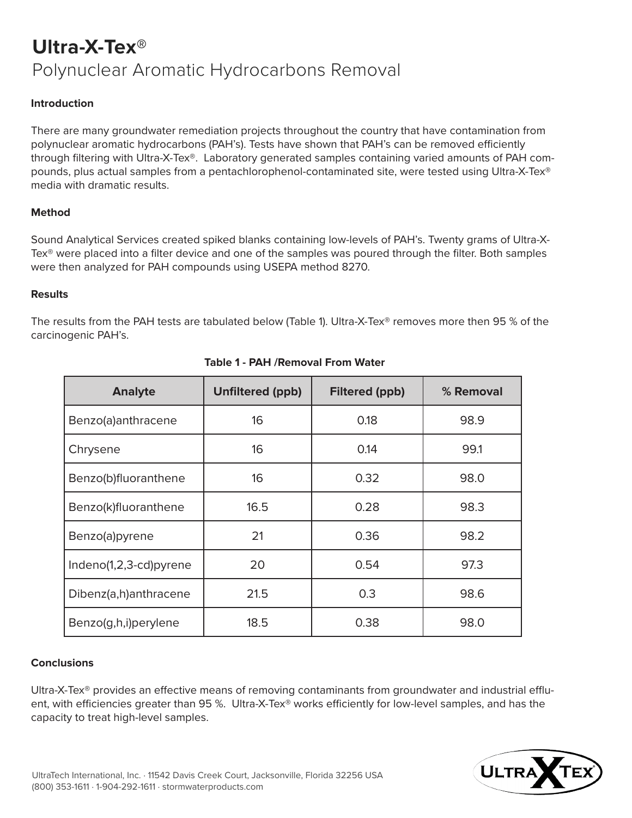## **Ultra-X-Tex®** Polynuclear Aromatic Hydrocarbons Removal

### **Introduction**

There are many groundwater remediation projects throughout the country that have contamination from polynuclear aromatic hydrocarbons (PAH's). Tests have shown that PAH's can be removed efficiently through filtering with Ultra-X-Tex®. Laboratory generated samples containing varied amounts of PAH compounds, plus actual samples from a pentachlorophenol-contaminated site, were tested using Ultra-X-Tex® media with dramatic results.

#### **Method**

Sound Analytical Services created spiked blanks containing low-levels of PAH's. Twenty grams of Ultra-X-Tex<sup>®</sup> were placed into a filter device and one of the samples was poured through the filter. Both samples were then analyzed for PAH compounds using USEPA method 8270.

#### **Results**

The results from the PAH tests are tabulated below (Table 1). Ultra-X-Tex® removes more then 95 % of the carcinogenic PAH's.

| <b>Analyte</b>         | <b>Unfiltered (ppb)</b> | <b>Filtered (ppb)</b> | % Removal |
|------------------------|-------------------------|-----------------------|-----------|
| Benzo(a)anthracene     | 16                      | 0.18                  | 98.9      |
| Chrysene               | 16                      | 0.14                  | 99.1      |
| Benzo(b)fluoranthene   | 16                      | 0.32                  | 98.0      |
| Benzo(k)fluoranthene   | 16.5                    | 0.28                  | 98.3      |
| Benzo(a)pyrene         | 21                      | 0.36                  | 98.2      |
| Indeno(1,2,3-cd)pyrene | 20                      | 0.54                  | 97.3      |
| Dibenz(a,h)anthracene  | 21.5                    | 0.3                   | 98.6      |
| Benzo(g,h,i)perylene   | 18.5                    | 0.38                  | 98.0      |

#### **Table 1 - PAH /Removal From Water**

#### **Conclusions**

Ultra-X-Tex® provides an effective means of removing contaminants from groundwater and industrial effluent, with efficiencies greater than 95 %. Ultra-X-Tex<sup>®</sup> works efficiently for low-level samples, and has the capacity to treat high-level samples.

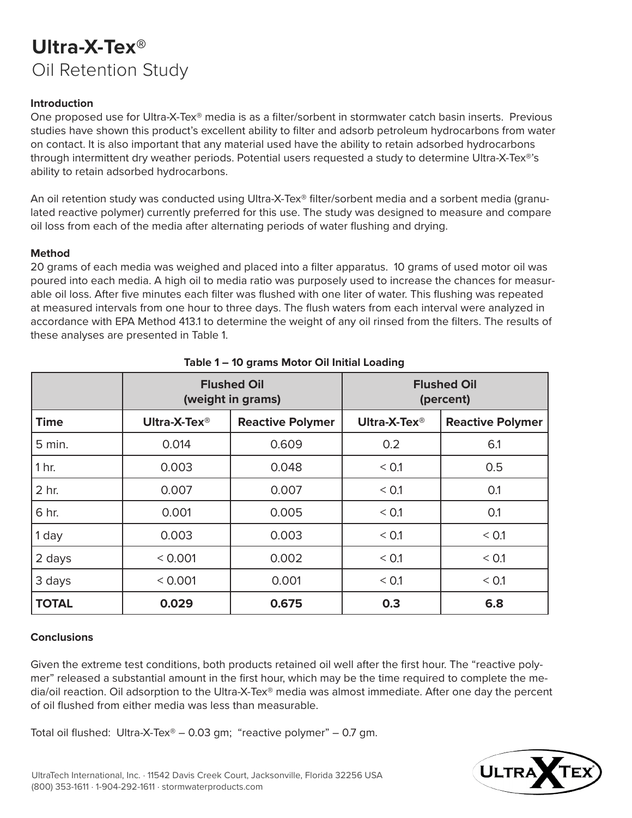## **Ultra-X-Tex®** Oil Retention Study

### **Introduction**

One proposed use for Ultra-X-Tex® media is as a filter/sorbent in stormwater catch basin inserts. Previous studies have shown this product's excellent ability to filter and adsorb petroleum hydrocarbons from water on contact. It is also important that any material used have the ability to retain adsorbed hydrocarbons through intermittent dry weather periods. Potential users requested a study to determine Ultra-X-Tex®'s ability to retain adsorbed hydrocarbons.

An oil retention study was conducted using Ultra-X-Tex® filter/sorbent media and a sorbent media (granulated reactive polymer) currently preferred for this use. The study was designed to measure and compare oil loss from each of the media after alternating periods of water flushing and drying.

#### **Method**

20 grams of each media was weighed and placed into a filter apparatus. 10 grams of used motor oil was poured into each media. A high oil to media ratio was purposely used to increase the chances for measurable oil loss. After five minutes each filter was flushed with one liter of water. This flushing was repeated at measured intervals from one hour to three days. The flush waters from each interval were analyzed in accordance with EPA Method 413.1 to determine the weight of any oil rinsed from the filters. The results of these analyses are presented in Table 1.

|               | <b>Flushed Oil</b><br>(weight in grams) |                         | <b>Flushed Oil</b><br>(percent) |                         |
|---------------|-----------------------------------------|-------------------------|---------------------------------|-------------------------|
| <b>Time</b>   | Ultra-X-Tex <sup>®</sup>                | <b>Reactive Polymer</b> | Ultra-X-Tex <sup>®</sup>        | <b>Reactive Polymer</b> |
| 5 min.        | 0.014                                   | 0.609                   | 0.2                             | 6.1                     |
| 1 hr.         | 0.003                                   | 0.048                   | < 0.1                           | 0.5                     |
| 2 hr.         | 0.007                                   | 0.007                   | < 0.1                           | 0.1                     |
| 6 hr.         | 0.001                                   | 0.005                   | < 0.1                           | 0.1                     |
| $\vert$ 1 day | 0.003                                   | 0.003                   | < 0.1                           | < 0.1                   |
| 2 days        | < 0.001                                 | 0.002                   | < 0.1                           | < 0.1                   |
| 3 days        | < 0.001                                 | 0.001                   | < 0.1                           | < 0.1                   |
| <b>TOTAL</b>  | 0.029                                   | 0.675                   | 0.3                             | 6.8                     |

### **Table 1 – 10 grams Motor Oil Initial Loading**

#### **Conclusions**

Given the extreme test conditions, both products retained oil well after the first hour. The "reactive polymer" released a substantial amount in the first hour, which may be the time required to complete the media/oil reaction. Oil adsorption to the Ultra-X-Tex® media was almost immediate. After one day the percent of oil flushed from either media was less than measurable.

Total oil flushed: Ultra-X-Tex® – 0.03 gm; "reactive polymer" – 0.7 gm.

![](_page_9_Picture_11.jpeg)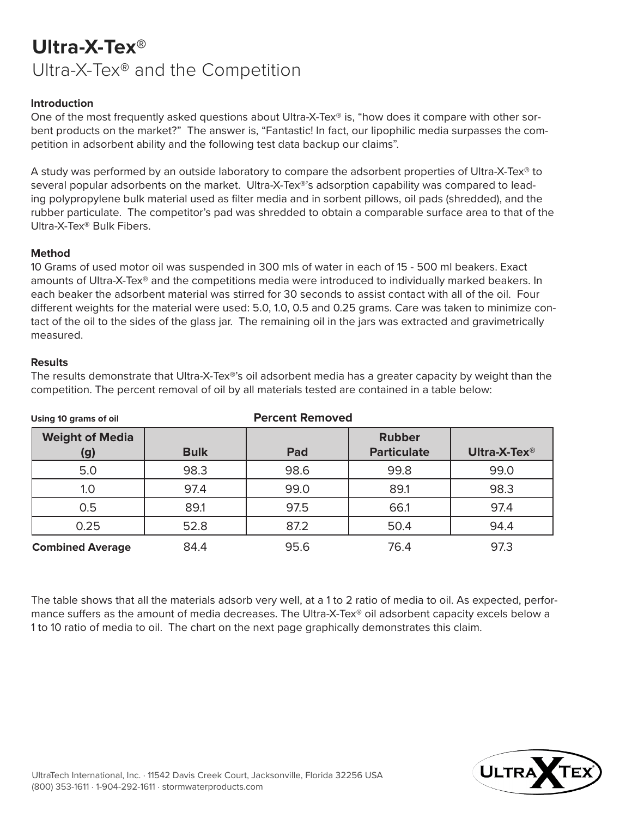## **Ultra-X-Tex®** Ultra-X-Tex® and the Competition

### **Introduction**

One of the most frequently asked questions about Ultra-X-Tex® is, "how does it compare with other sorbent products on the market?" The answer is, "Fantastic! In fact, our lipophilic media surpasses the competition in adsorbent ability and the following test data backup our claims".

A study was performed by an outside laboratory to compare the adsorbent properties of Ultra-X-Tex® to several popular adsorbents on the market. Ultra-X-Tex®'s adsorption capability was compared to leading polypropylene bulk material used as filter media and in sorbent pillows, oil pads (shredded), and the rubber particulate. The competitor's pad was shredded to obtain a comparable surface area to that of the Ultra-X-Tex® Bulk Fibers.

#### **Method**

10 Grams of used motor oil was suspended in 300 mls of water in each of 15 - 500 ml beakers. Exact amounts of Ultra-X-Tex® and the competitions media were introduced to individually marked beakers. In each beaker the adsorbent material was stirred for 30 seconds to assist contact with all of the oil. Four different weights for the material were used: 5.0, 1.0, 0.5 and 0.25 grams. Care was taken to minimize contact of the oil to the sides of the glass jar. The remaining oil in the jars was extracted and gravimetrically measured.

#### **Results**

The results demonstrate that Ultra-X-Tex®'s oil adsorbent media has a greater capacity by weight than the competition. The percent removal of oil by all materials tested are contained in a table below:

| Using 10 grams of oil         | <b>Percent Removed</b> |      |                                     |                          |
|-------------------------------|------------------------|------|-------------------------------------|--------------------------|
| <b>Weight of Media</b><br>(g) | <b>Bulk</b>            | Pad  | <b>Rubber</b><br><b>Particulate</b> | Ultra-X-Tex <sup>®</sup> |
| 5.0                           | 98.3                   | 98.6 | 99.8                                | 99.0                     |
| 1.0                           | 97.4                   | 99.0 | 89.1                                | 98.3                     |
| 0.5                           | 89.1                   | 97.5 | 66.1                                | 97.4                     |
| 0.25                          | 52.8                   | 87.2 | 50.4                                | 94.4                     |
| <b>Combined Average</b>       | 84.4                   | 95.6 | 76.4                                | 97.3                     |

The table shows that all the materials adsorb very well, at a 1 to 2 ratio of media to oil. As expected, performance suffers as the amount of media decreases. The Ultra-X-Tex® oil adsorbent capacity excels below a 1 to 10 ratio of media to oil. The chart on the next page graphically demonstrates this claim.

![](_page_10_Picture_10.jpeg)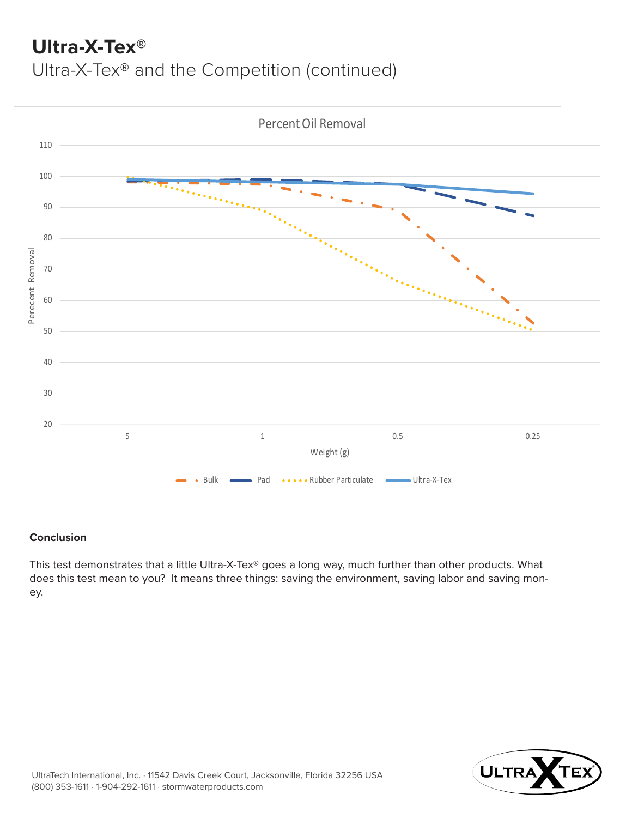## **Ultra-X-Tex®**

Ultra-X-Tex® and the Competition (continued)

![](_page_11_Figure_2.jpeg)

### **Conclusion**

This test demonstrates that a little Ultra-X-Tex® goes a long way, much further than other products. What does this test mean to you? It means three things: saving the environment, saving labor and saving money.

![](_page_11_Picture_5.jpeg)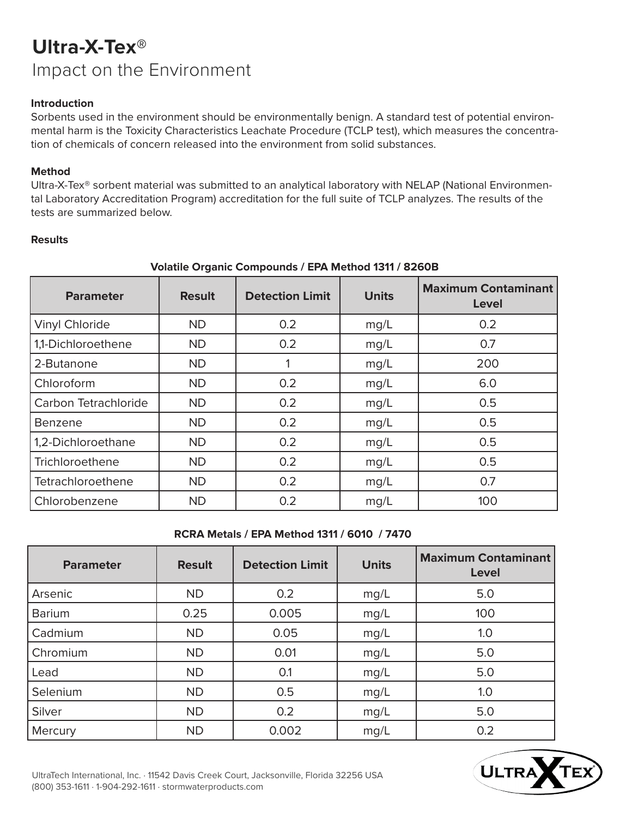## **Ultra-X-Tex®** Impact on the Environment

### **Introduction**

Sorbents used in the environment should be environmentally benign. A standard test of potential environmental harm is the Toxicity Characteristics Leachate Procedure (TCLP test), which measures the concentration of chemicals of concern released into the environment from solid substances.

### **Method**

Ultra-X-Tex® sorbent material was submitted to an analytical laboratory with NELAP (National Environmental Laboratory Accreditation Program) accreditation for the full suite of TCLP analyzes. The results of the tests are summarized below.

### **Results**

| <b>Parameter</b>      | <b>Result</b> | <b>Detection Limit</b> | <b>Units</b> | <b>Maximum Contaminant</b><br><b>Level</b> |
|-----------------------|---------------|------------------------|--------------|--------------------------------------------|
| <b>Vinyl Chloride</b> | <b>ND</b>     | 0.2                    | mg/L         | 0.2                                        |
| 1,1-Dichloroethene    | <b>ND</b>     | 0.2                    | mg/L         | 0.7                                        |
| 2-Butanone            | <b>ND</b>     |                        | mg/L         | 200                                        |
| Chloroform            | <b>ND</b>     | 0.2                    | mg/L         | 6.0                                        |
| Carbon Tetrachloride  | <b>ND</b>     | 0.2                    | mg/L         | 0.5                                        |
| Benzene               | <b>ND</b>     | 0.2                    | mg/L         | 0.5                                        |
| 1,2-Dichloroethane    | <b>ND</b>     | 0.2                    | mg/L         | 0.5                                        |
| Trichloroethene       | <b>ND</b>     | 0.2                    | mg/L         | 0.5                                        |
| Tetrachloroethene     | <b>ND</b>     | 0.2                    | mg/L         | 0.7                                        |
| Chlorobenzene         | <b>ND</b>     | 0.2                    | mg/L         | 100                                        |

## **Volatile Organic Compounds / EPA Method 1311 / 8260B**

### **RCRA Metals / EPA Method 1311 / 6010 / 7470**

| <b>Parameter</b> | <b>Result</b> | <b>Detection Limit</b> | <b>Units</b> | <b>Maximum Contaminant</b><br>Level |
|------------------|---------------|------------------------|--------------|-------------------------------------|
| Arsenic          | <b>ND</b>     | 0.2                    | mg/L         | 5.0                                 |
| <b>Barium</b>    | 0.25          | 0.005                  | mg/L         | 100                                 |
| Cadmium          | <b>ND</b>     | 0.05                   | mg/L         | 1.0                                 |
| Chromium         | <b>ND</b>     | 0.01                   | mg/L         | 5.0                                 |
| Lead             | <b>ND</b>     | 0.1                    | mg/L         | 5.0                                 |
| Selenium         | <b>ND</b>     | 0.5                    | mg/L         | 1.0                                 |
| Silver           | <b>ND</b>     | 0.2                    | mg/L         | 5.0                                 |
| Mercury          | <b>ND</b>     | 0.002                  | mg/L         | 0.2                                 |

![](_page_12_Picture_10.jpeg)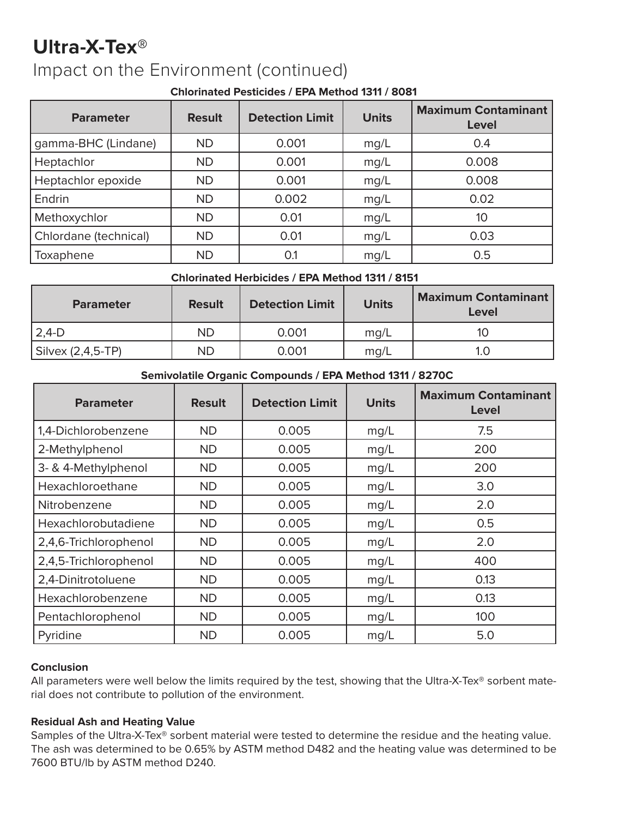## **Ultra-X-Tex®** Impact on the Environment (continued)

### **Chlorinated Pesticides / EPA Method 1311 / 8081**

| <b>Parameter</b>      | <b>Result</b> | <b>Detection Limit</b> | <b>Units</b> | <b>Maximum Contaminant</b><br>Level |
|-----------------------|---------------|------------------------|--------------|-------------------------------------|
| gamma-BHC (Lindane)   | <b>ND</b>     | 0.001                  | mg/L         | 0.4                                 |
| Heptachlor            | <b>ND</b>     | 0.001                  | mg/L         | 0.008                               |
| Heptachlor epoxide    | <b>ND</b>     | 0.001                  | mg/L         | 0.008                               |
| Endrin                | <b>ND</b>     | 0.002                  | mg/L         | 0.02                                |
| Methoxychlor          | <b>ND</b>     | 0.01                   | mg/L         | 10                                  |
| Chlordane (technical) | <b>ND</b>     | 0.01                   | mg/L         | 0.03                                |
| Toxaphene             | <b>ND</b>     | 0.1                    | mg/L         | 0.5                                 |

## **Chlorinated Herbicides / EPA Method 1311 / 8151**

| <b>Parameter</b>          | <b>Result</b> | <b>Detection Limit</b> | <b>Units</b> | <b>Maximum Contaminant</b><br>Level |
|---------------------------|---------------|------------------------|--------------|-------------------------------------|
| $2,4-D$                   | <b>ND</b>     | 0.001                  | mq/L         |                                     |
| $\vert$ Silvex (2,4,5-TP) | <b>ND</b>     | 0.001                  | mq/L         |                                     |
|                           |               |                        |              |                                     |

## **Semivolatile Organic Compounds / EPA Method 1311 / 8270C**

| <b>Parameter</b>      | <b>Result</b> | <b>Units</b><br><b>Detection Limit</b> |      | <b>Maximum Contaminant</b><br>Level |  |
|-----------------------|---------------|----------------------------------------|------|-------------------------------------|--|
| 1,4-Dichlorobenzene   | <b>ND</b>     | 0.005<br>mg/L                          |      | 7.5                                 |  |
| 2-Methylphenol        | <b>ND</b>     | 0.005                                  | mg/L | 200                                 |  |
| 3- & 4-Methylphenol   | <b>ND</b>     | 0.005                                  | mg/L | 200                                 |  |
| Hexachloroethane      | <b>ND</b>     | 0.005                                  | mg/L | 3.0                                 |  |
| Nitrobenzene          | <b>ND</b>     | 0.005                                  | mg/L | 2.0                                 |  |
| Hexachlorobutadiene   | <b>ND</b>     | 0.005                                  | mg/L | 0.5                                 |  |
| 2,4,6-Trichlorophenol | <b>ND</b>     | 0.005                                  | mg/L | 2.0                                 |  |
| 2,4,5-Trichlorophenol | <b>ND</b>     | 0.005                                  | mg/L | 400                                 |  |
| 2,4-Dinitrotoluene    | <b>ND</b>     | 0.005                                  | mg/L | 0.13                                |  |
| Hexachlorobenzene     | <b>ND</b>     | 0.005                                  | mg/L | 0.13                                |  |
| Pentachlorophenol     | <b>ND</b>     | 0.005                                  | mg/L | 100                                 |  |
| Pyridine              | <b>ND</b>     | 0.005                                  | mg/L | 5.0                                 |  |

### **Conclusion**

All parameters were well below the limits required by the test, showing that the Ultra-X-Tex® sorbent material does not contribute to pollution of the environment.

## **Residual Ash and Heating Value**

Samples of the Ultra-X-Tex® sorbent material were tested to determine the residue and the heating value. The ash was determined to be 0.65% by ASTM method D482 and the heating value was determined to be 7600 BTU/lb by ASTM method D240.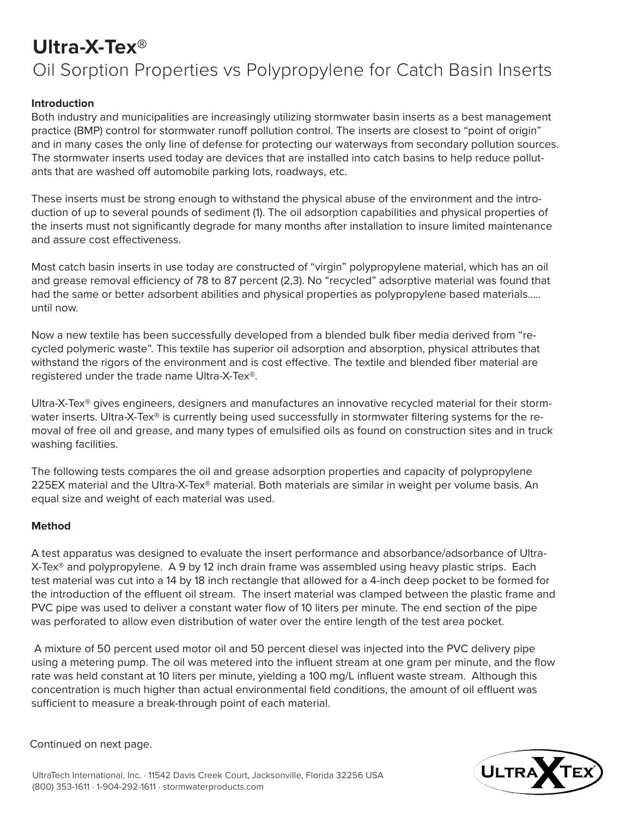# **Ultra-X-Tex®** Oil Sorption Properties vs Polypropylene for Catch Basin Inserts

### **Introduction**

Both industry and municipalities are increasingly utilizing stormwater basin inserts as a best management practice (BMP) control for stormwater runoff pollution control. The inserts are closest to "point of origin" and in many cases the only line of defense for protecting our waterways from secondary pollution sources. The stormwater inserts used today are devices that are installed into catch basins to help reduce pollutants that are washed off automobile parking lots, roadways, etc.

These inserts must be strong enough to withstand the physical abuse of the environment and the introduction of up to several pounds of sediment (1). The oil adsorption capabilities and physical properties of the inserts must not significantly degrade for many months after installation to insure limited maintenance and assure cost effectiveness.

Most catch basin inserts in use today are constructed of "virgin" polypropylene material, which has an oil and grease removal efficiency of 78 to 87 percent (2,3). No "recycled" adsorptive material was found that had the same or better adsorbent abilities and physical properties as polypropylene based materials….. until now.

Now a new textile has been successfully developed from a blended bulk fiber media derived from "recycled polymeric waste". This textile has superior oil adsorption and absorption, physical attributes that withstand the rigors of the environment and is cost effective. The textile and blended fiber material are registered under the trade name Ultra-X-Tex®.

Ultra-X-Tex® gives engineers, designers and manufactures an innovative recycled material for their stormwater inserts. Ultra-X-Tex® is currently being used successfully in stormwater filtering systems for the removal of free oil and grease, and many types of emulsified oils as found on construction sites and in truck washing facilities.

The following tests compares the oil and grease adsorption properties and capacity of polypropylene 225EX material and the Ultra-X-Tex® material. Both materials are similar in weight per volume basis. An equal size and weight of each material was used.

### **Method**

A test apparatus was designed to evaluate the insert performance and absorbance/adsorbance of Ultra-X-Tex<sup>®</sup> and polypropylene. A 9 by 12 inch drain frame was assembled using heavy plastic strips. Each test material was cut into a 14 by 18 inch rectangle that allowed for a 4-inch deep pocket to be formed for the introduction of the effluent oil stream. The insert material was clamped between the plastic frame and PVC pipe was used to deliver a constant water flow of 10 liters per minute. The end section of the pipe was perforated to allow even distribution of water over the entire length of the test area pocket.

 A mixture of 50 percent used motor oil and 50 percent diesel was injected into the PVC delivery pipe using a metering pump. The oil was metered into the influent stream at one gram per minute, and the flow rate was held constant at 10 liters per minute, yielding a 100 mg/L influent waste stream. Although this concentration is much higher than actual environmental field conditions, the amount of oil effluent was sufficient to measure a break-through point of each material.

Continued on next page.

![](_page_14_Picture_12.jpeg)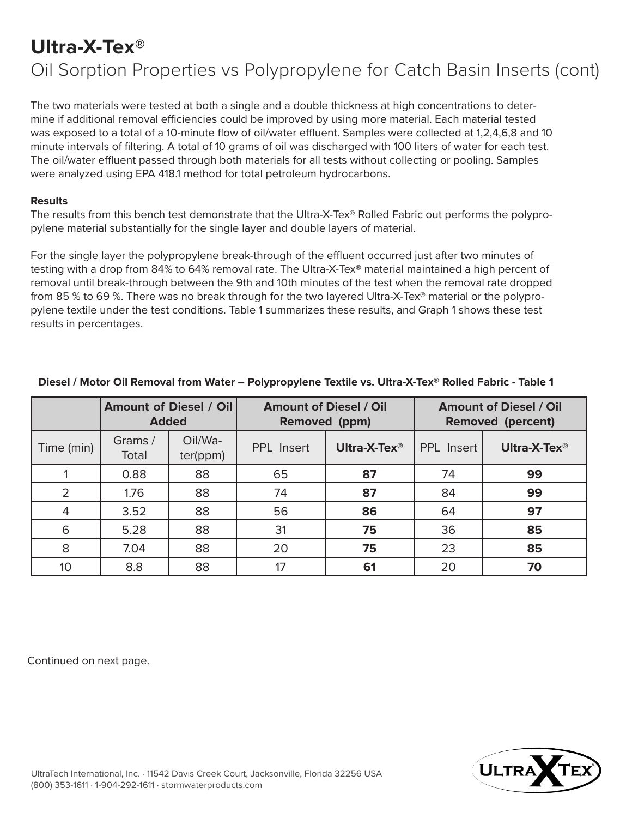## **Ultra-X-Tex®**

## Oil Sorption Properties vs Polypropylene for Catch Basin Inserts (cont)

The two materials were tested at both a single and a double thickness at high concentrations to determine if additional removal efficiencies could be improved by using more material. Each material tested was exposed to a total of a 10-minute flow of oil/water effluent. Samples were collected at 1,2,4,6,8 and 10 minute intervals of filtering. A total of 10 grams of oil was discharged with 100 liters of water for each test. The oil/water effluent passed through both materials for all tests without collecting or pooling. Samples were analyzed using EPA 418.1 method for total petroleum hydrocarbons.

#### **Results**

The results from this bench test demonstrate that the Ultra-X-Tex® Rolled Fabric out performs the polypropylene material substantially for the single layer and double layers of material.

For the single layer the polypropylene break-through of the effluent occurred just after two minutes of testing with a drop from 84% to 64% removal rate. The Ultra-X-Tex® material maintained a high percent of removal until break-through between the 9th and 10th minutes of the test when the removal rate dropped from 85 % to 69 %. There was no break through for the two layered Ultra-X-Tex® material or the polypropylene textile under the test conditions. Table 1 summarizes these results, and Graph 1 shows these test results in percentages.

|                | <b>Amount of Diesel / Oil</b><br><b>Added</b> |                     | <b>Amount of Diesel / Oil</b><br><b>Removed (ppm)</b> |                          | <b>Amount of Diesel / Oil</b><br><b>Removed (percent)</b> |                          |
|----------------|-----------------------------------------------|---------------------|-------------------------------------------------------|--------------------------|-----------------------------------------------------------|--------------------------|
| Time (min)     | Grams /<br>Total                              | Oil/Wa-<br>ter(ppm) | <b>PPL</b> Insert                                     | Ultra-X-Tex <sup>®</sup> | <b>PPL</b> Insert                                         | Ultra-X-Tex <sup>®</sup> |
|                | 0.88                                          | 88                  | 65                                                    | 87                       | 74                                                        | 99                       |
| $\overline{2}$ | 1.76                                          | 88                  | 74                                                    | 87                       | 84                                                        | 99                       |
| $\overline{4}$ | 3.52                                          | 88                  | 56                                                    | 86                       | 64                                                        | 97                       |
| 6              | 5.28                                          | 88                  | 31                                                    | 75                       | 36                                                        | 85                       |
| 8              | 7.04                                          | 88                  | 20                                                    | 75                       | 23                                                        | 85                       |
| 10             | 8.8                                           | 88                  | 17                                                    | 61                       | 20                                                        | 70                       |

#### **Diesel / Motor Oil Removal from Water – Polypropylene Textile vs. Ultra-X-Tex® Rolled Fabric - Table 1**

Continued on next page.

![](_page_15_Picture_9.jpeg)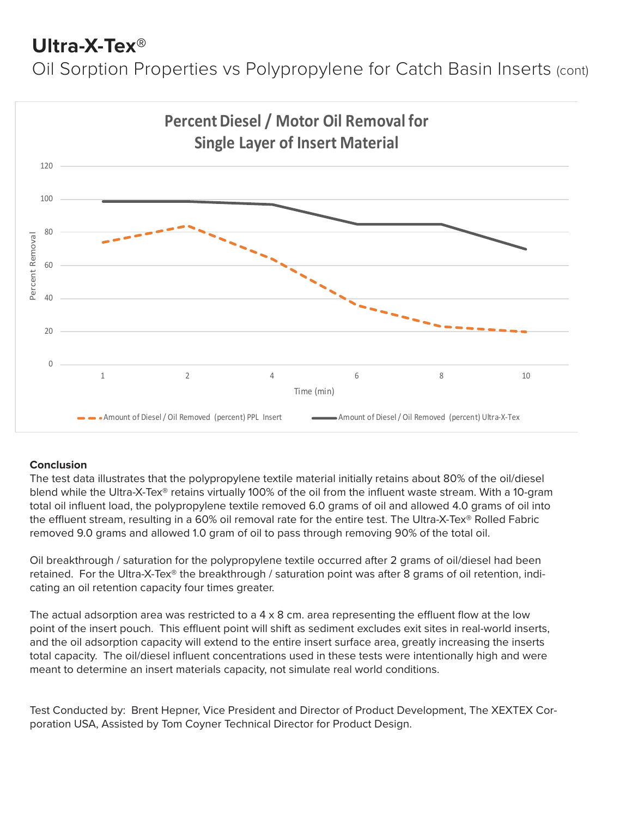## **Ultra-X-Tex®**

Oil Sorption Properties vs Polypropylene for Catch Basin Inserts (cont)

![](_page_16_Figure_2.jpeg)

#### **Conclusion**

The test data illustrates that the polypropylene textile material initially retains about 80% of the oil/diesel blend while the Ultra-X-Tex® retains virtually 100% of the oil from the influent waste stream. With a 10-gram total oil influent load, the polypropylene textile removed 6.0 grams of oil and allowed 4.0 grams of oil into the effluent stream, resulting in a 60% oil removal rate for the entire test. The Ultra-X-Tex® Rolled Fabric removed 9.0 grams and allowed 1.0 gram of oil to pass through removing 90% of the total oil.

Oil breakthrough / saturation for the polypropylene textile occurred after 2 grams of oil/diesel had been retained. For the Ultra-X-Tex® the breakthrough / saturation point was after 8 grams of oil retention, indicating an oil retention capacity four times greater.

The actual adsorption area was restricted to a  $4 \times 8$  cm. area representing the effluent flow at the low point of the insert pouch. This effluent point will shift as sediment excludes exit sites in real-world inserts, and the oil adsorption capacity will extend to the entire insert surface area, greatly increasing the inserts total capacity. The oil/diesel influent concentrations used in these tests were intentionally high and were meant to determine an insert materials capacity, not simulate real world conditions.

Test Conducted by: Brent Hepner, Vice President and Director of Product Development, The XEXTEX Corporation USA, Assisted by Tom Coyner Technical Director for Product Design.